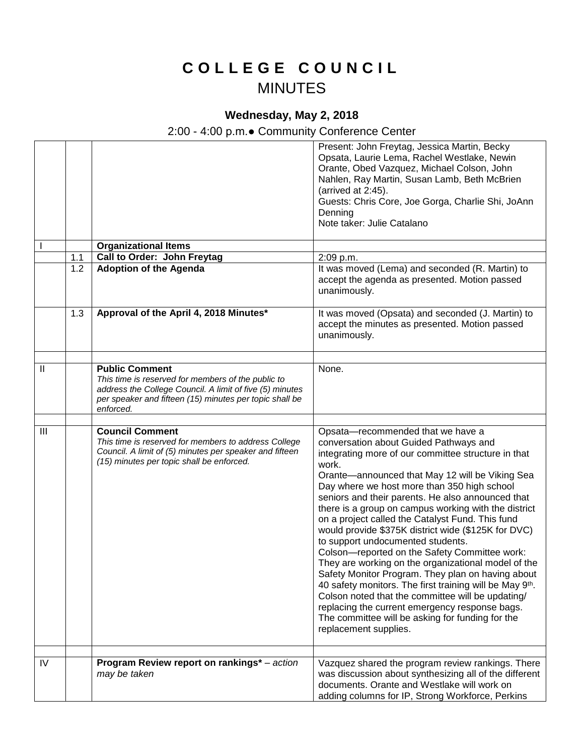## **C O L L E G E C O U N C I L** MINUTES

## **Wednesday, May 2, 2018**

## 2:00 - 4:00 p.m.● Community Conference Center

|              |     |                                                                                                                                                                                                                 | Present: John Freytag, Jessica Martin, Becky<br>Opsata, Laurie Lema, Rachel Westlake, Newin<br>Orante, Obed Vazquez, Michael Colson, John<br>Nahlen, Ray Martin, Susan Lamb, Beth McBrien<br>(arrived at 2:45).<br>Guests: Chris Core, Joe Gorga, Charlie Shi, JoAnn<br>Denning<br>Note taker: Julie Catalano                                                                                                                                                                                                                                                                                                                                                                                                                                                                                                                                                                                                          |
|--------------|-----|-----------------------------------------------------------------------------------------------------------------------------------------------------------------------------------------------------------------|------------------------------------------------------------------------------------------------------------------------------------------------------------------------------------------------------------------------------------------------------------------------------------------------------------------------------------------------------------------------------------------------------------------------------------------------------------------------------------------------------------------------------------------------------------------------------------------------------------------------------------------------------------------------------------------------------------------------------------------------------------------------------------------------------------------------------------------------------------------------------------------------------------------------|
|              |     | <b>Organizational Items</b>                                                                                                                                                                                     |                                                                                                                                                                                                                                                                                                                                                                                                                                                                                                                                                                                                                                                                                                                                                                                                                                                                                                                        |
|              | 1.1 | Call to Order: John Freytag                                                                                                                                                                                     | 2:09 p.m.                                                                                                                                                                                                                                                                                                                                                                                                                                                                                                                                                                                                                                                                                                                                                                                                                                                                                                              |
|              | 1.2 | <b>Adoption of the Agenda</b>                                                                                                                                                                                   | It was moved (Lema) and seconded (R. Martin) to<br>accept the agenda as presented. Motion passed<br>unanimously.                                                                                                                                                                                                                                                                                                                                                                                                                                                                                                                                                                                                                                                                                                                                                                                                       |
|              | 1.3 | Approval of the April 4, 2018 Minutes*                                                                                                                                                                          | It was moved (Opsata) and seconded (J. Martin) to<br>accept the minutes as presented. Motion passed<br>unanimously.                                                                                                                                                                                                                                                                                                                                                                                                                                                                                                                                                                                                                                                                                                                                                                                                    |
| $\mathbf{I}$ |     | <b>Public Comment</b><br>This time is reserved for members of the public to<br>address the College Council. A limit of five (5) minutes<br>per speaker and fifteen (15) minutes per topic shall be<br>enforced. | None.                                                                                                                                                                                                                                                                                                                                                                                                                                                                                                                                                                                                                                                                                                                                                                                                                                                                                                                  |
|              |     |                                                                                                                                                                                                                 |                                                                                                                                                                                                                                                                                                                                                                                                                                                                                                                                                                                                                                                                                                                                                                                                                                                                                                                        |
| III          |     | <b>Council Comment</b><br>This time is reserved for members to address College<br>Council. A limit of (5) minutes per speaker and fifteen<br>(15) minutes per topic shall be enforced.                          | Opsata-recommended that we have a<br>conversation about Guided Pathways and<br>integrating more of our committee structure in that<br>work.<br>Orante-announced that May 12 will be Viking Sea<br>Day where we host more than 350 high school<br>seniors and their parents. He also announced that<br>there is a group on campus working with the district<br>on a project called the Catalyst Fund. This fund<br>would provide \$375K district wide (\$125K for DVC)<br>to support undocumented students.<br>Colson-reported on the Safety Committee work:<br>They are working on the organizational model of the<br>Safety Monitor Program. They plan on having about<br>40 safety monitors. The first training will be May 9th.<br>Colson noted that the committee will be updating/<br>replacing the current emergency response bags.<br>The committee will be asking for funding for the<br>replacement supplies. |
| IV           |     | Program Review report on rankings* - action<br>may be taken                                                                                                                                                     | Vazquez shared the program review rankings. There<br>was discussion about synthesizing all of the different<br>documents. Orante and Westlake will work on<br>adding columns for IP, Strong Workforce, Perkins                                                                                                                                                                                                                                                                                                                                                                                                                                                                                                                                                                                                                                                                                                         |